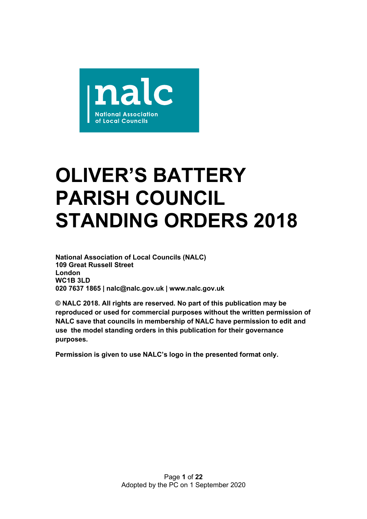

# **OLIVER'S BATTERY PARISH COUNCIL STANDING ORDERS 2018**

**National Association of Local Councils (NALC) 109 Great Russell Street London WC1B 3LD 020 7637 1865 | nalc@nalc.gov.uk | www.nalc.gov.uk**

**© NALC 2018. All rights are reserved. No part of this publication may be reproduced or used for commercial purposes without the written permission of NALC save that councils in membership of NALC have permission to edit and use the model standing orders in this publication for their governance purposes.**

**Permission is given to use NALC's logo in the presented format only.**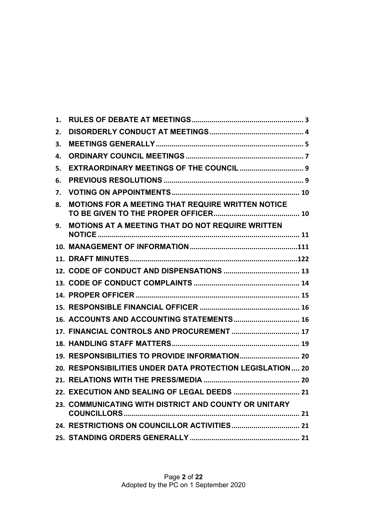| 1. |                                                           |
|----|-----------------------------------------------------------|
| 2. |                                                           |
| 3. |                                                           |
| 4. |                                                           |
| 5. |                                                           |
| 6. |                                                           |
| 7. |                                                           |
| 8. | MOTIONS FOR A MEETING THAT REQUIRE WRITTEN NOTICE         |
| 9. | MOTIONS AT A MEETING THAT DO NOT REQUIRE WRITTEN          |
|    |                                                           |
|    |                                                           |
|    |                                                           |
|    |                                                           |
|    |                                                           |
|    |                                                           |
|    | 16. ACCOUNTS AND ACCOUNTING STATEMENTS 16                 |
|    | 17. FINANCIAL CONTROLS AND PROCUREMENT  17                |
|    |                                                           |
|    |                                                           |
|    | 20. RESPONSIBILITIES UNDER DATA PROTECTION LEGISLATION 20 |
|    |                                                           |
|    |                                                           |
|    | 23. COMMUNICATING WITH DISTRICT AND COUNTY OR UNITARY     |
|    |                                                           |
|    |                                                           |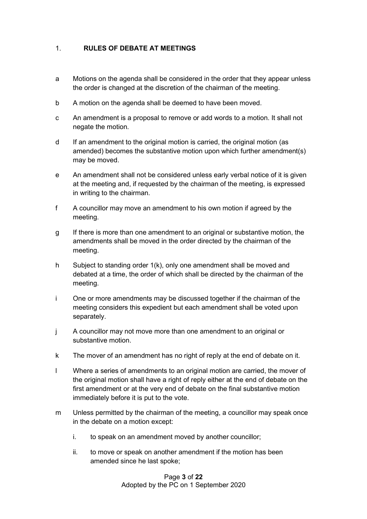## 1. **RULES OF DEBATE AT MEETINGS**

- a Motions on the agenda shall be considered in the order that they appear unless the order is changed at the discretion of the chairman of the meeting.
- b A motion on the agenda shall be deemed to have been moved.
- c An amendment is a proposal to remove or add words to a motion. It shall not negate the motion.
- d If an amendment to the original motion is carried, the original motion (as amended) becomes the substantive motion upon which further amendment(s) may be moved.
- e An amendment shall not be considered unless early verbal notice of it is given at the meeting and, if requested by the chairman of the meeting, is expressed in writing to the chairman.
- f A councillor may move an amendment to his own motion if agreed by the meeting.
- g If there is more than one amendment to an original or substantive motion, the amendments shall be moved in the order directed by the chairman of the meeting.
- h Subject to standing order 1(k), only one amendment shall be moved and debated at a time, the order of which shall be directed by the chairman of the meeting.
- i One or more amendments may be discussed together if the chairman of the meeting considers this expedient but each amendment shall be voted upon separately.
- j A councillor may not move more than one amendment to an original or substantive motion.
- k The mover of an amendment has no right of reply at the end of debate on it.
- l Where a series of amendments to an original motion are carried, the mover of the original motion shall have a right of reply either at the end of debate on the first amendment or at the very end of debate on the final substantive motion immediately before it is put to the vote.
- m Unless permitted by the chairman of the meeting, a councillor may speak once in the debate on a motion except:
	- i. to speak on an amendment moved by another councillor;
	- ii. to move or speak on another amendment if the motion has been amended since he last spoke;

Page **3** of **22** Adopted by the PC on 1 September 2020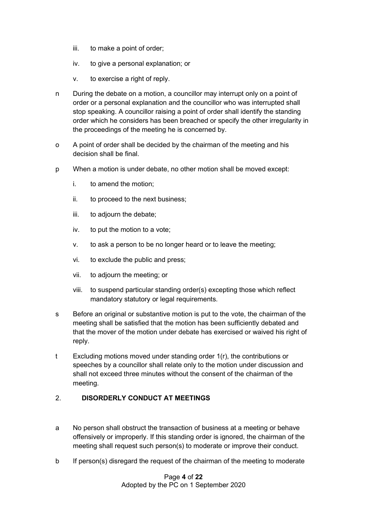- iii. to make a point of order;
- iv. to give a personal explanation; or
- v. to exercise a right of reply.
- n During the debate on a motion, a councillor may interrupt only on a point of order or a personal explanation and the councillor who was interrupted shall stop speaking. A councillor raising a point of order shall identify the standing order which he considers has been breached or specify the other irregularity in the proceedings of the meeting he is concerned by.
- o A point of order shall be decided by the chairman of the meeting and his decision shall be final.
- p When a motion is under debate, no other motion shall be moved except:
	- i. to amend the motion;
	- ii. to proceed to the next business;
	- iii. to adjourn the debate;
	- iv. to put the motion to a vote;
	- v. to ask a person to be no longer heard or to leave the meeting;
	- vi. to exclude the public and press;
	- vii. to adjourn the meeting; or
	- viii. to suspend particular standing order(s) excepting those which reflect mandatory statutory or legal requirements.
- s Before an original or substantive motion is put to the vote, the chairman of the meeting shall be satisfied that the motion has been sufficiently debated and that the mover of the motion under debate has exercised or waived his right of reply.
- t Excluding motions moved under standing order 1(r), the contributions or speeches by a councillor shall relate only to the motion under discussion and shall not exceed three minutes without the consent of the chairman of the meeting.

## 2. **DISORDERLY CONDUCT AT MEETINGS**

- a No person shall obstruct the transaction of business at a meeting or behave offensively or improperly. If this standing order is ignored, the chairman of the meeting shall request such person(s) to moderate or improve their conduct.
- b If person(s) disregard the request of the chairman of the meeting to moderate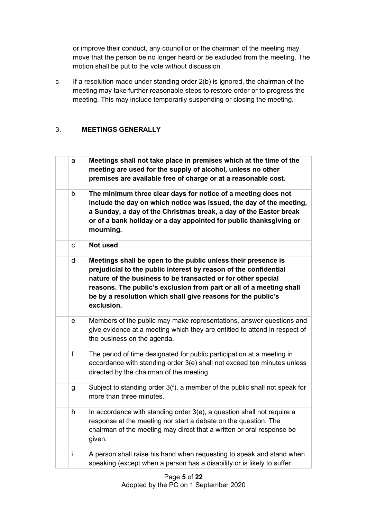or improve their conduct, any councillor or the chairman of the meeting may move that the person be no longer heard or be excluded from the meeting. The motion shall be put to the vote without discussion.

c If a resolution made under standing order 2(b) is ignored, the chairman of the meeting may take further reasonable steps to restore order or to progress the meeting. This may include temporarily suspending or closing the meeting.

# 3. **MEETINGS GENERALLY**

| a           | Meetings shall not take place in premises which at the time of the<br>meeting are used for the supply of alcohol, unless no other<br>premises are available free of charge or at a reasonable cost.                                                                                                                                                    |
|-------------|--------------------------------------------------------------------------------------------------------------------------------------------------------------------------------------------------------------------------------------------------------------------------------------------------------------------------------------------------------|
| b           | The minimum three clear days for notice of a meeting does not<br>include the day on which notice was issued, the day of the meeting,<br>a Sunday, a day of the Christmas break, a day of the Easter break<br>or of a bank holiday or a day appointed for public thanksgiving or<br>mourning.                                                           |
| C           | Not used                                                                                                                                                                                                                                                                                                                                               |
| $\sf d$     | Meetings shall be open to the public unless their presence is<br>prejudicial to the public interest by reason of the confidential<br>nature of the business to be transacted or for other special<br>reasons. The public's exclusion from part or all of a meeting shall<br>be by a resolution which shall give reasons for the public's<br>exclusion. |
| е           | Members of the public may make representations, answer questions and<br>give evidence at a meeting which they are entitled to attend in respect of<br>the business on the agenda.                                                                                                                                                                      |
| $\mathsf f$ | The period of time designated for public participation at a meeting in<br>accordance with standing order 3(e) shall not exceed ten minutes unless<br>directed by the chairman of the meeting.                                                                                                                                                          |
| g           | Subject to standing order 3(f), a member of the public shall not speak for<br>more than three minutes.                                                                                                                                                                                                                                                 |
| h           | In accordance with standing order $3(e)$ , a question shall not require a<br>response at the meeting nor start a debate on the question. The<br>chairman of the meeting may direct that a written or oral response be<br>given.                                                                                                                        |
| İ           | A person shall raise his hand when requesting to speak and stand when<br>speaking (except when a person has a disability or is likely to suffer                                                                                                                                                                                                        |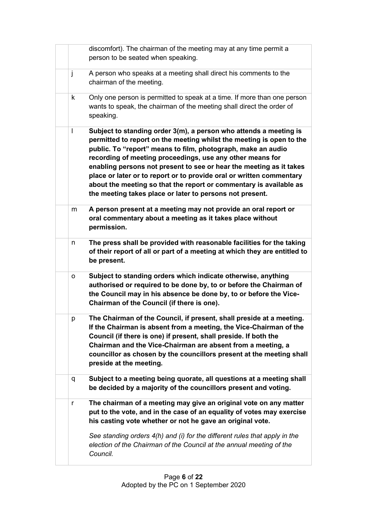|   | discomfort). The chairman of the meeting may at any time permit a<br>person to be seated when speaking.                                                                                                                                                                                                                                                                                                                                                                                                                                                 |
|---|---------------------------------------------------------------------------------------------------------------------------------------------------------------------------------------------------------------------------------------------------------------------------------------------------------------------------------------------------------------------------------------------------------------------------------------------------------------------------------------------------------------------------------------------------------|
| j | A person who speaks at a meeting shall direct his comments to the<br>chairman of the meeting.                                                                                                                                                                                                                                                                                                                                                                                                                                                           |
| k | Only one person is permitted to speak at a time. If more than one person<br>wants to speak, the chairman of the meeting shall direct the order of<br>speaking.                                                                                                                                                                                                                                                                                                                                                                                          |
| I | Subject to standing order 3(m), a person who attends a meeting is<br>permitted to report on the meeting whilst the meeting is open to the<br>public. To "report" means to film, photograph, make an audio<br>recording of meeting proceedings, use any other means for<br>enabling persons not present to see or hear the meeting as it takes<br>place or later or to report or to provide oral or written commentary<br>about the meeting so that the report or commentary is available as<br>the meeting takes place or later to persons not present. |
| m | A person present at a meeting may not provide an oral report or<br>oral commentary about a meeting as it takes place without<br>permission.                                                                                                                                                                                                                                                                                                                                                                                                             |
| n | The press shall be provided with reasonable facilities for the taking<br>of their report of all or part of a meeting at which they are entitled to<br>be present.                                                                                                                                                                                                                                                                                                                                                                                       |
| о | Subject to standing orders which indicate otherwise, anything<br>authorised or required to be done by, to or before the Chairman of<br>the Council may in his absence be done by, to or before the Vice-<br>Chairman of the Council (if there is one).                                                                                                                                                                                                                                                                                                  |
| p | The Chairman of the Council, if present, shall preside at a meeting.<br>If the Chairman is absent from a meeting, the Vice-Chairman of the<br>Council (if there is one) if present, shall preside. If both the<br>Chairman and the Vice-Chairman are absent from a meeting, a<br>councillor as chosen by the councillors present at the meeting shall<br>preside at the meeting.                                                                                                                                                                        |
| q | Subject to a meeting being quorate, all questions at a meeting shall<br>be decided by a majority of the councillors present and voting.                                                                                                                                                                                                                                                                                                                                                                                                                 |
| r | The chairman of a meeting may give an original vote on any matter<br>put to the vote, and in the case of an equality of votes may exercise<br>his casting vote whether or not he gave an original vote.                                                                                                                                                                                                                                                                                                                                                 |
|   | See standing orders 4(h) and (i) for the different rules that apply in the<br>election of the Chairman of the Council at the annual meeting of the<br>Council.                                                                                                                                                                                                                                                                                                                                                                                          |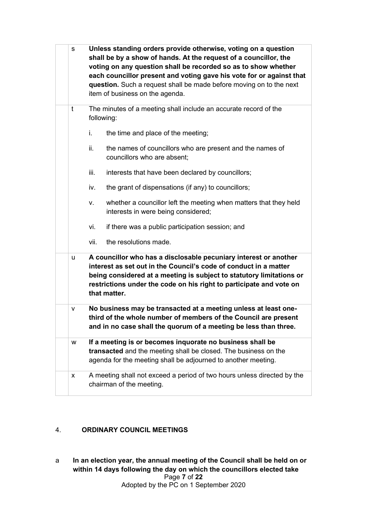| s | Unless standing orders provide otherwise, voting on a question<br>shall be by a show of hands. At the request of a councillor, the<br>voting on any question shall be recorded so as to show whether<br>each councillor present and voting gave his vote for or against that<br>question. Such a request shall be made before moving on to the next<br>item of business on the agenda. |
|---|----------------------------------------------------------------------------------------------------------------------------------------------------------------------------------------------------------------------------------------------------------------------------------------------------------------------------------------------------------------------------------------|
| t | The minutes of a meeting shall include an accurate record of the<br>following:                                                                                                                                                                                                                                                                                                         |
|   | the time and place of the meeting;<br>i.                                                                                                                                                                                                                                                                                                                                               |
|   | ii.<br>the names of councillors who are present and the names of<br>councillors who are absent;                                                                                                                                                                                                                                                                                        |
|   | iii.<br>interests that have been declared by councillors;                                                                                                                                                                                                                                                                                                                              |
|   | the grant of dispensations (if any) to councillors;<br>iv.                                                                                                                                                                                                                                                                                                                             |
|   | whether a councillor left the meeting when matters that they held<br>v.<br>interests in were being considered;                                                                                                                                                                                                                                                                         |
|   | vi.<br>if there was a public participation session; and                                                                                                                                                                                                                                                                                                                                |
|   | vii.<br>the resolutions made.                                                                                                                                                                                                                                                                                                                                                          |
| u | A councillor who has a disclosable pecuniary interest or another<br>interest as set out in the Council's code of conduct in a matter<br>being considered at a meeting is subject to statutory limitations or<br>restrictions under the code on his right to participate and vote on<br>that matter.                                                                                    |
| v | No business may be transacted at a meeting unless at least one-<br>third of the whole number of members of the Council are present<br>and in no case shall the quorum of a meeting be less than three.                                                                                                                                                                                 |
| w | If a meeting is or becomes inquorate no business shall be<br>transacted and the meeting shall be closed. The business on the<br>agenda for the meeting shall be adjourned to another meeting.                                                                                                                                                                                          |
| x | A meeting shall not exceed a period of two hours unless directed by the<br>chairman of the meeting.                                                                                                                                                                                                                                                                                    |

# 4. **ORDINARY COUNCIL MEETINGS**

Page **7** of **22** Adopted by the PC on 1 September 2020 a **In an election year, the annual meeting of the Council shall be held on or within 14 days following the day on which the councillors elected take**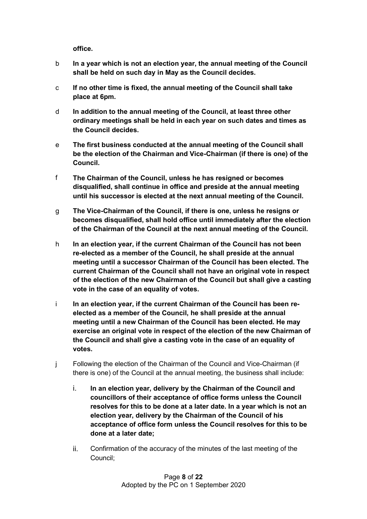**office.**

- b **In a year which is not an election year, the annual meeting of the Council shall be held on such day in May as the Council decides.**
- c **If no other time is fixed, the annual meeting of the Council shall take place at 6pm.**
- d **In addition to the annual meeting of the Council, at least three other ordinary meetings shall be held in each year on such dates and times as the Council decides.**
- e **The first business conducted at the annual meeting of the Council shall be the election of the Chairman and Vice-Chairman (if there is one) of the Council.**
- f **The Chairman of the Council, unless he has resigned or becomes disqualified, shall continue in office and preside at the annual meeting until his successor is elected at the next annual meeting of the Council.**
- g **The Vice-Chairman of the Council, if there is one, unless he resigns or becomes disqualified, shall hold office until immediately after the election of the Chairman of the Council at the next annual meeting of the Council.**
- h **In an election year, if the current Chairman of the Council has not been re-elected as a member of the Council, he shall preside at the annual meeting until a successor Chairman of the Council has been elected. The current Chairman of the Council shall not have an original vote in respect of the election of the new Chairman of the Council but shall give a casting vote in the case of an equality of votes.**
- i **In an election year, if the current Chairman of the Council has been reelected as a member of the Council, he shall preside at the annual meeting until a new Chairman of the Council has been elected. He may exercise an original vote in respect of the election of the new Chairman of the Council and shall give a casting vote in the case of an equality of votes.**
- j Following the election of the Chairman of the Council and Vice-Chairman (if there is one) of the Council at the annual meeting, the business shall include:
	- i. **In an election year, delivery by the Chairman of the Council and councillors of their acceptance of office forms unless the Council resolves for this to be done at a later date. In a year which is not an election year, delivery by the Chairman of the Council of his acceptance of office form unless the Council resolves for this to be done at a later date;**
	- ii. Confirmation of the accuracy of the minutes of the last meeting of the Council;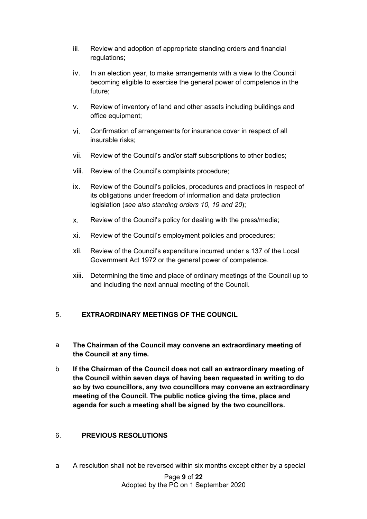- iii. Review and adoption of appropriate standing orders and financial regulations;
- iv. In an election year, to make arrangements with a view to the Council becoming eligible to exercise the general power of competence in the future;
- v. Review of inventory of land and other assets including buildings and office equipment;
- vi. Confirmation of arrangements for insurance cover in respect of all insurable risks;
- vii. Review of the Council's and/or staff subscriptions to other bodies;
- viii. Review of the Council's complaints procedure;
- ix. Review of the Council's policies, procedures and practices in respect of its obligations under freedom of information and data protection legislation (*see also standing orders 10, 19 and 20*);
- x. Review of the Council's policy for dealing with the press/media;
- xi. Review of the Council's employment policies and procedures;
- xii. Review of the Council's expenditure incurred under s.137 of the Local Government Act 1972 or the general power of competence.
- xiii. Determining the time and place of ordinary meetings of the Council up to and including the next annual meeting of the Council.

## 5. **EXTRAORDINARY MEETINGS OF THE COUNCIL**

- a **The Chairman of the Council may convene an extraordinary meeting of the Council at any time.**
- b **If the Chairman of the Council does not call an extraordinary meeting of the Council within seven days of having been requested in writing to do so by two councillors, any two councillors may convene an extraordinary meeting of the Council. The public notice giving the time, place and agenda for such a meeting shall be signed by the two councillors.**

## 6. **PREVIOUS RESOLUTIONS**

a A resolution shall not be reversed within six months except either by a special

Page **9** of **22** Adopted by the PC on 1 September 2020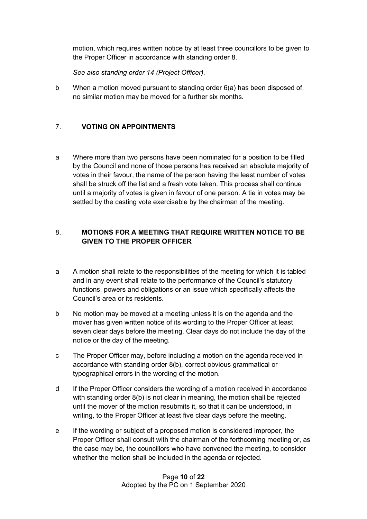motion, which requires written notice by at least three councillors to be given to the Proper Officer in accordance with standing order 8.

*See also standing order 14 (Project Officer).*

b When a motion moved pursuant to standing order 6(a) has been disposed of, no similar motion may be moved for a further six months.

## 7. **VOTING ON APPOINTMENTS**

a Where more than two persons have been nominated for a position to be filled by the Council and none of those persons has received an absolute majority of votes in their favour, the name of the person having the least number of votes shall be struck off the list and a fresh vote taken. This process shall continue until a majority of votes is given in favour of one person. A tie in votes may be settled by the casting vote exercisable by the chairman of the meeting.

## 8. **MOTIONS FOR A MEETING THAT REQUIRE WRITTEN NOTICE TO BE GIVEN TO THE PROPER OFFICER**

- a A motion shall relate to the responsibilities of the meeting for which it is tabled and in any event shall relate to the performance of the Council's statutory functions, powers and obligations or an issue which specifically affects the Council's area or its residents.
- b No motion may be moved at a meeting unless it is on the agenda and the mover has given written notice of its wording to the Proper Officer at least seven clear days before the meeting. Clear days do not include the day of the notice or the day of the meeting.
- c The Proper Officer may, before including a motion on the agenda received in accordance with standing order 8(b), correct obvious grammatical or typographical errors in the wording of the motion.
- d If the Proper Officer considers the wording of a motion received in accordance with standing order 8(b) is not clear in meaning, the motion shall be rejected until the mover of the motion resubmits it, so that it can be understood, in writing, to the Proper Officer at least five clear days before the meeting.
- e If the wording or subject of a proposed motion is considered improper, the Proper Officer shall consult with the chairman of the forthcoming meeting or, as the case may be, the councillors who have convened the meeting, to consider whether the motion shall be included in the agenda or rejected.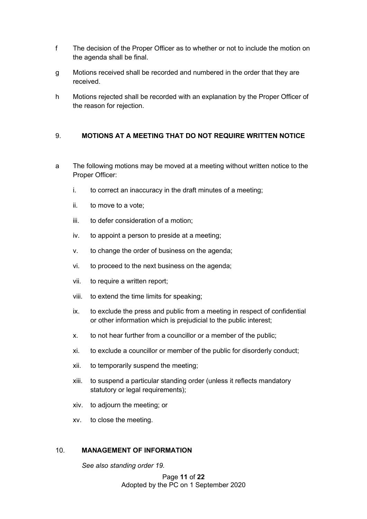- f The decision of the Proper Officer as to whether or not to include the motion on the agenda shall be final.
- g Motions received shall be recorded and numbered in the order that they are received.
- h Motions rejected shall be recorded with an explanation by the Proper Officer of the reason for rejection.

#### 9. **MOTIONS AT A MEETING THAT DO NOT REQUIRE WRITTEN NOTICE**

- a The following motions may be moved at a meeting without written notice to the Proper Officer:
	- i. to correct an inaccuracy in the draft minutes of a meeting;
	- ii. to move to a vote;
	- iii. to defer consideration of a motion;
	- iv. to appoint a person to preside at a meeting;
	- v. to change the order of business on the agenda;
	- vi. to proceed to the next business on the agenda;
	- vii. to require a written report;
	- viii. to extend the time limits for speaking;
	- ix. to exclude the press and public from a meeting in respect of confidential or other information which is prejudicial to the public interest;
	- x. to not hear further from a councillor or a member of the public;
	- xi. to exclude a councillor or member of the public for disorderly conduct;
	- xii. to temporarily suspend the meeting;
	- xiii. to suspend a particular standing order (unless it reflects mandatory statutory or legal requirements);
	- xiv. to adjourn the meeting; or
	- xv. to close the meeting.

#### 10. **MANAGEMENT OF INFORMATION**

*See also standing order 19.*

Page **11** of **22** Adopted by the PC on 1 September 2020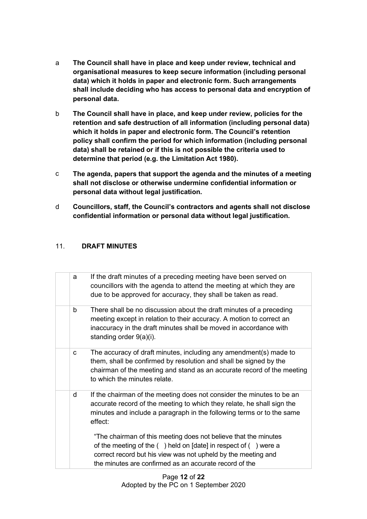- a **The Council shall have in place and keep under review, technical and organisational measures to keep secure information (including personal data) which it holds in paper and electronic form. Such arrangements shall include deciding who has access to personal data and encryption of personal data.**
- b **The Council shall have in place, and keep under review, policies for the retention and safe destruction of all information (including personal data) which it holds in paper and electronic form. The Council's retention policy shall confirm the period for which information (including personal data) shall be retained or if this is not possible the criteria used to determine that period (e.g. the Limitation Act 1980).**
- c **The agenda, papers that support the agenda and the minutes of a meeting shall not disclose or otherwise undermine confidential information or personal data without legal justification.**
- d **Councillors, staff, the Council's contractors and agents shall not disclose confidential information or personal data without legal justification.**

## 11. **DRAFT MINUTES**

| a | If the draft minutes of a preceding meeting have been served on<br>councillors with the agenda to attend the meeting at which they are<br>due to be approved for accuracy, they shall be taken as read.                                                             |
|---|---------------------------------------------------------------------------------------------------------------------------------------------------------------------------------------------------------------------------------------------------------------------|
| b | There shall be no discussion about the draft minutes of a preceding<br>meeting except in relation to their accuracy. A motion to correct an<br>inaccuracy in the draft minutes shall be moved in accordance with<br>standing order 9(a)(i).                         |
| C | The accuracy of draft minutes, including any amendment(s) made to<br>them, shall be confirmed by resolution and shall be signed by the<br>chairman of the meeting and stand as an accurate record of the meeting<br>to which the minutes relate.                    |
| d | If the chairman of the meeting does not consider the minutes to be an<br>accurate record of the meeting to which they relate, he shall sign the<br>minutes and include a paragraph in the following terms or to the same<br>effect:                                 |
|   | "The chairman of this meeting does not believe that the minutes<br>of the meeting of the $($ ) held on [date] in respect of $($ ) were a<br>correct record but his view was not upheld by the meeting and<br>the minutes are confirmed as an accurate record of the |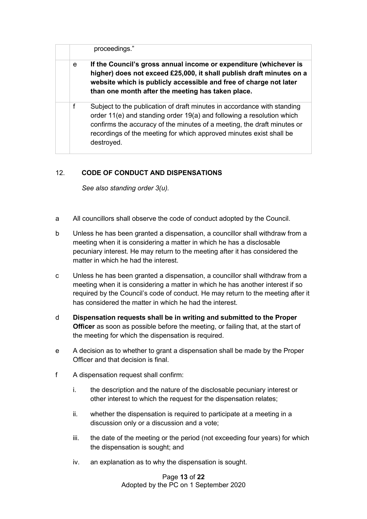|   | proceedings."                                                                                                                                                                                                                                                                                                    |
|---|------------------------------------------------------------------------------------------------------------------------------------------------------------------------------------------------------------------------------------------------------------------------------------------------------------------|
| e | If the Council's gross annual income or expenditure (whichever is<br>higher) does not exceed £25,000, it shall publish draft minutes on a<br>website which is publicly accessible and free of charge not later<br>than one month after the meeting has taken place.                                              |
| f | Subject to the publication of draft minutes in accordance with standing<br>order 11(e) and standing order 19(a) and following a resolution which<br>confirms the accuracy of the minutes of a meeting, the draft minutes or<br>recordings of the meeting for which approved minutes exist shall be<br>destroyed. |

## 12. **CODE OF CONDUCT AND DISPENSATIONS**

*See also standing order 3(u).*

- a All councillors shall observe the code of conduct adopted by the Council.
- b Unless he has been granted a dispensation, a councillor shall withdraw from a meeting when it is considering a matter in which he has a disclosable pecuniary interest. He may return to the meeting after it has considered the matter in which he had the interest.
- c Unless he has been granted a dispensation, a councillor shall withdraw from a meeting when it is considering a matter in which he has another interest if so required by the Council's code of conduct. He may return to the meeting after it has considered the matter in which he had the interest.
- d **Dispensation requests shall be in writing and submitted to the Proper Officer** as soon as possible before the meeting, or failing that, at the start of the meeting for which the dispensation is required.
- e A decision as to whether to grant a dispensation shall be made by the Proper Officer and that decision is final.
- f A dispensation request shall confirm:
	- i. the description and the nature of the disclosable pecuniary interest or other interest to which the request for the dispensation relates;
	- ii. whether the dispensation is required to participate at a meeting in a discussion only or a discussion and a vote;
	- iii. the date of the meeting or the period (not exceeding four years) for which the dispensation is sought; and
	- iv. an explanation as to why the dispensation is sought.

Page **13** of **22** Adopted by the PC on 1 September 2020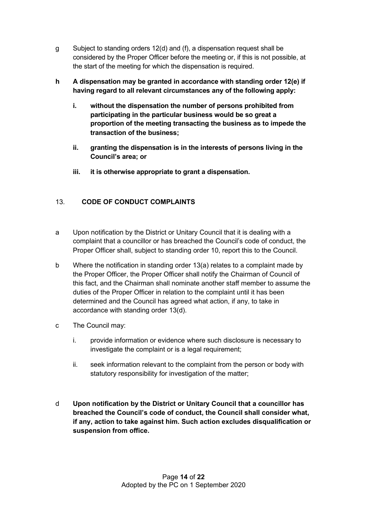- g Subject to standing orders 12(d) and (f), a dispensation request shall be considered by the Proper Officer before the meeting or, if this is not possible, at the start of the meeting for which the dispensation is required.
- **h A dispensation may be granted in accordance with standing order 12(e) if having regard to all relevant circumstances any of the following apply:**
	- **i. without the dispensation the number of persons prohibited from participating in the particular business would be so great a proportion of the meeting transacting the business as to impede the transaction of the business;**
	- **ii. granting the dispensation is in the interests of persons living in the Council's area; or**
	- **iii. it is otherwise appropriate to grant a dispensation.**

## 13. **CODE OF CONDUCT COMPLAINTS**

- a Upon notification by the District or Unitary Council that it is dealing with a complaint that a councillor or has breached the Council's code of conduct, the Proper Officer shall, subject to standing order 10, report this to the Council.
- b Where the notification in standing order 13(a) relates to a complaint made by the Proper Officer, the Proper Officer shall notify the Chairman of Council of this fact, and the Chairman shall nominate another staff member to assume the duties of the Proper Officer in relation to the complaint until it has been determined and the Council has agreed what action, if any, to take in accordance with standing order 13(d).
- c The Council may:
	- i. provide information or evidence where such disclosure is necessary to investigate the complaint or is a legal requirement;
	- ii. seek information relevant to the complaint from the person or body with statutory responsibility for investigation of the matter;
- d **Upon notification by the District or Unitary Council that a councillor has breached the Council's code of conduct, the Council shall consider what, if any, action to take against him. Such action excludes disqualification or suspension from office.**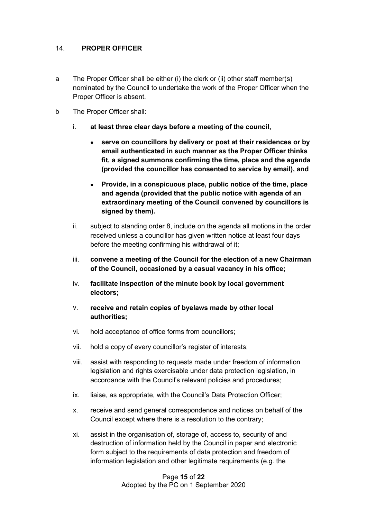#### 14. **PROPER OFFICER**

- a The Proper Officer shall be either (i) the clerk or (ii) other staff member(s) nominated by the Council to undertake the work of the Proper Officer when the Proper Officer is absent.
- b The Proper Officer shall:
	- i. **at least three clear days before a meeting of the council,** 
		- **serve on councillors by delivery or post at their residences or by email authenticated in such manner as the Proper Officer thinks fit, a signed summons confirming the time, place and the agenda (provided the councillor has consented to service by email), and**
		- **Provide, in a conspicuous place, public notice of the time, place and agenda (provided that the public notice with agenda of an extraordinary meeting of the Council convened by councillors is signed by them).**
	- ii. subject to standing order 8, include on the agenda all motions in the order received unless a councillor has given written notice at least four days before the meeting confirming his withdrawal of it;
	- iii. **convene a meeting of the Council for the election of a new Chairman of the Council, occasioned by a casual vacancy in his office;**
	- iv. **facilitate inspection of the minute book by local government electors;**
	- v. **receive and retain copies of byelaws made by other local authorities;**
	- vi. hold acceptance of office forms from councillors;
	- vii. hold a copy of every councillor's register of interests;
	- viii. assist with responding to requests made under freedom of information legislation and rights exercisable under data protection legislation, in accordance with the Council's relevant policies and procedures;
	- ix. liaise, as appropriate, with the Council's Data Protection Officer;
	- x. receive and send general correspondence and notices on behalf of the Council except where there is a resolution to the contrary;
	- xi. assist in the organisation of, storage of, access to, security of and destruction of information held by the Council in paper and electronic form subject to the requirements of data protection and freedom of information legislation and other legitimate requirements (e.g. the

Page **15** of **22** Adopted by the PC on 1 September 2020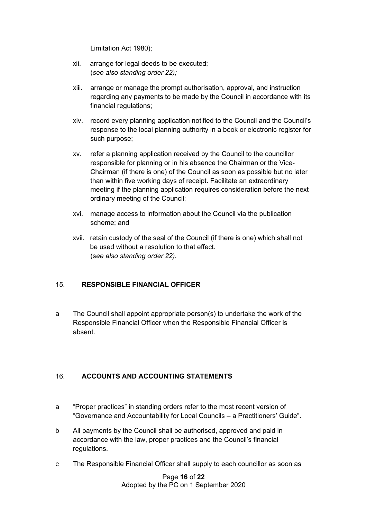Limitation Act 1980);

- xii. arrange for legal deeds to be executed; (*see also standing order 22);*
- xiii. arrange or manage the prompt authorisation, approval, and instruction regarding any payments to be made by the Council in accordance with its financial regulations;
- xiv. record every planning application notified to the Council and the Council's response to the local planning authority in a book or electronic register for such purpose;
- xv. refer a planning application received by the Council to the councillor responsible for planning or in his absence the Chairman or the Vice-Chairman (if there is one) of the Council as soon as possible but no later than within five working days of receipt. Facilitate an extraordinary meeting if the planning application requires consideration before the next ordinary meeting of the Council;
- xvi. manage access to information about the Council via the publication scheme; and
- xvii. retain custody of the seal of the Council (if there is one) which shall not be used without a resolution to that effect. (s*ee also standing order 22).*

## 15. **RESPONSIBLE FINANCIAL OFFICER**

a The Council shall appoint appropriate person(s) to undertake the work of the Responsible Financial Officer when the Responsible Financial Officer is absent.

## 16. **ACCOUNTS AND ACCOUNTING STATEMENTS**

- a "Proper practices" in standing orders refer to the most recent version of "Governance and Accountability for Local Councils – a Practitioners' Guide".
- b All payments by the Council shall be authorised, approved and paid in accordance with the law, proper practices and the Council's financial regulations.
- c The Responsible Financial Officer shall supply to each councillor as soon as

Page **16** of **22** Adopted by the PC on 1 September 2020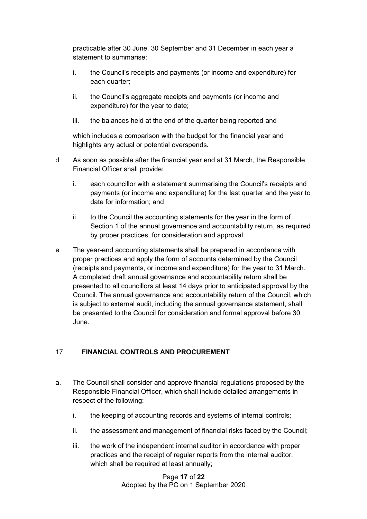practicable after 30 June, 30 September and 31 December in each year a statement to summarise:

- i. the Council's receipts and payments (or income and expenditure) for each quarter;
- ii. the Council's aggregate receipts and payments (or income and expenditure) for the year to date;
- iii. the balances held at the end of the quarter being reported and

which includes a comparison with the budget for the financial year and highlights any actual or potential overspends.

- d As soon as possible after the financial year end at 31 March, the Responsible Financial Officer shall provide:
	- i. each councillor with a statement summarising the Council's receipts and payments (or income and expenditure) for the last quarter and the year to date for information; and
	- ii. to the Council the accounting statements for the year in the form of Section 1 of the annual governance and accountability return, as required by proper practices, for consideration and approval.
- e The year-end accounting statements shall be prepared in accordance with proper practices and apply the form of accounts determined by the Council (receipts and payments, or income and expenditure) for the year to 31 March. A completed draft annual governance and accountability return shall be presented to all councillors at least 14 days prior to anticipated approval by the Council. The annual governance and accountability return of the Council, which is subject to external audit, including the annual governance statement, shall be presented to the Council for consideration and formal approval before 30 June.

## 17. **FINANCIAL CONTROLS AND PROCUREMENT**

- a. The Council shall consider and approve financial regulations proposed by the Responsible Financial Officer, which shall include detailed arrangements in respect of the following:
	- i. the keeping of accounting records and systems of internal controls;
	- ii. the assessment and management of financial risks faced by the Council;
	- iii. the work of the independent internal auditor in accordance with proper practices and the receipt of regular reports from the internal auditor, which shall be required at least annually;

Page **17** of **22** Adopted by the PC on 1 September 2020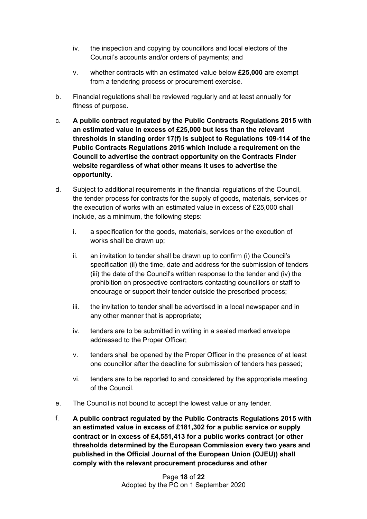- iv. the inspection and copying by councillors and local electors of the Council's accounts and/or orders of payments; and
- v. whether contracts with an estimated value below **£25,000** are exempt from a tendering process or procurement exercise.
- b. Financial regulations shall be reviewed regularly and at least annually for fitness of purpose.
- c. **A public contract regulated by the Public Contracts Regulations 2015 with an estimated value in excess of £25,000 but less than the relevant thresholds in standing order 17(f) is subject to Regulations 109-114 of the Public Contracts Regulations 2015 which include a requirement on the Council to advertise the contract opportunity on the Contracts Finder website regardless of what other means it uses to advertise the opportunity.**
- d. Subject to additional requirements in the financial regulations of the Council, the tender process for contracts for the supply of goods, materials, services or the execution of works with an estimated value in excess of £25,000 shall include, as a minimum, the following steps:
	- i. a specification for the goods, materials, services or the execution of works shall be drawn up;
	- ii. an invitation to tender shall be drawn up to confirm (i) the Council's specification (ii) the time, date and address for the submission of tenders (iii) the date of the Council's written response to the tender and (iv) the prohibition on prospective contractors contacting councillors or staff to encourage or support their tender outside the prescribed process;
	- iii. the invitation to tender shall be advertised in a local newspaper and in any other manner that is appropriate;
	- iv. tenders are to be submitted in writing in a sealed marked envelope addressed to the Proper Officer;
	- v. tenders shall be opened by the Proper Officer in the presence of at least one councillor after the deadline for submission of tenders has passed;
	- vi. tenders are to be reported to and considered by the appropriate meeting of the Council.
- e. The Council is not bound to accept the lowest value or any tender.
- f. **A public contract regulated by the Public Contracts Regulations 2015 with an estimated value in excess of £181,302 for a public service or supply contract or in excess of £4,551,413 for a public works contract (or other thresholds determined by the European Commission every two years and published in the Official Journal of the European Union (OJEU)) shall comply with the relevant procurement procedures and other**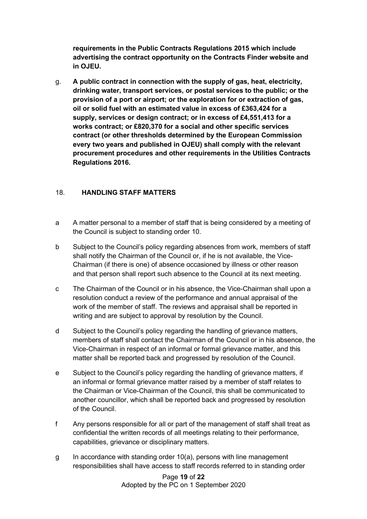**requirements in the Public Contracts Regulations 2015 which include advertising the contract opportunity on the Contracts Finder website and in OJEU.**

g. **A public contract in connection with the supply of gas, heat, electricity, drinking water, transport services, or postal services to the public; or the provision of a port or airport; or the exploration for or extraction of gas, oil or solid fuel with an estimated value in excess of £363,424 for a supply, services or design contract; or in excess of £4,551,413 for a works contract; or £820,370 for a social and other specific services contract (or other thresholds determined by the European Commission every two years and published in OJEU) shall comply with the relevant procurement procedures and other requirements in the Utilities Contracts Regulations 2016.**

## 18. **HANDLING STAFF MATTERS**

- a A matter personal to a member of staff that is being considered by a meeting of the Council is subject to standing order 10.
- b Subject to the Council's policy regarding absences from work, members of staff shall notify the Chairman of the Council or, if he is not available, the Vice-Chairman (if there is one) of absence occasioned by illness or other reason and that person shall report such absence to the Council at its next meeting.
- c The Chairman of the Council or in his absence, the Vice-Chairman shall upon a resolution conduct a review of the performance and annual appraisal of the work of the member of staff. The reviews and appraisal shall be reported in writing and are subject to approval by resolution by the Council.
- d Subject to the Council's policy regarding the handling of grievance matters, members of staff shall contact the Chairman of the Council or in his absence, the Vice-Chairman in respect of an informal or formal grievance matter, and this matter shall be reported back and progressed by resolution of the Council.
- e Subject to the Council's policy regarding the handling of grievance matters, if an informal or formal grievance matter raised by a member of staff relates to the Chairman or Vice-Chairman of the Council, this shall be communicated to another councillor, which shall be reported back and progressed by resolution of the Council.
- f Any persons responsible for all or part of the management of staff shall treat as confidential the written records of all meetings relating to their performance, capabilities, grievance or disciplinary matters.
- g In accordance with standing order 10(a), persons with line management responsibilities shall have access to staff records referred to in standing order

Page **19** of **22** Adopted by the PC on 1 September 2020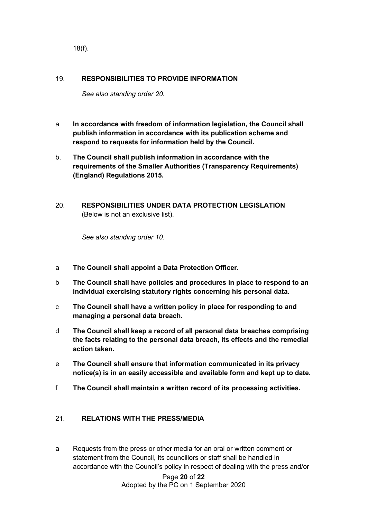18(f).

#### 19. **RESPONSIBILITIES TO PROVIDE INFORMATION**

*See also standing order 20.*

- a **In accordance with freedom of information legislation, the Council shall publish information in accordance with its publication scheme and respond to requests for information held by the Council.**
- b. **The Council shall publish information in accordance with the requirements of the Smaller Authorities (Transparency Requirements) (England) Regulations 2015.**
- 20. **RESPONSIBILITIES UNDER DATA PROTECTION LEGISLATION**  (Below is not an exclusive list).

*See also standing order 10.*

- a **The Council shall appoint a Data Protection Officer.**
- b **The Council shall have policies and procedures in place to respond to an individual exercising statutory rights concerning his personal data.**
- c **The Council shall have a written policy in place for responding to and managing a personal data breach.**
- d **The Council shall keep a record of all personal data breaches comprising the facts relating to the personal data breach, its effects and the remedial action taken.**
- e **The Council shall ensure that information communicated in its privacy notice(s) is in an easily accessible and available form and kept up to date.**
- f **The Council shall maintain a written record of its processing activities.**

#### 21. **RELATIONS WITH THE PRESS/MEDIA**

a Requests from the press or other media for an oral or written comment or statement from the Council, its councillors or staff shall be handled in accordance with the Council's policy in respect of dealing with the press and/or

> Page **20** of **22** Adopted by the PC on 1 September 2020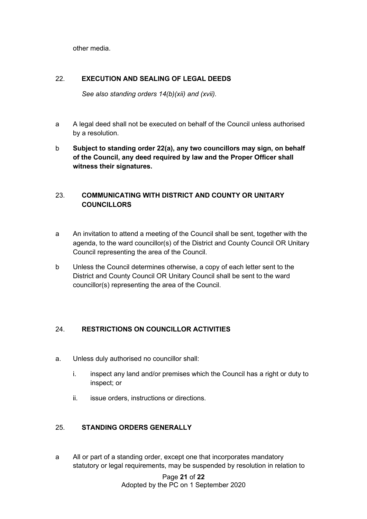other media.

## 22. **EXECUTION AND SEALING OF LEGAL DEEDS**

*See also standing orders 14(b)(xii) and (xvii).*

- a A legal deed shall not be executed on behalf of the Council unless authorised by a resolution.
- b **Subject to standing order 22(a), any two councillors may sign, on behalf of the Council, any deed required by law and the Proper Officer shall witness their signatures.**

# 23. **COMMUNICATING WITH DISTRICT AND COUNTY OR UNITARY COUNCILLORS**

- a An invitation to attend a meeting of the Council shall be sent, together with the agenda, to the ward councillor(s) of the District and County Council OR Unitary Council representing the area of the Council.
- b Unless the Council determines otherwise, a copy of each letter sent to the District and County Council OR Unitary Council shall be sent to the ward councillor(s) representing the area of the Council.

## 24. **RESTRICTIONS ON COUNCILLOR ACTIVITIES**

- a. Unless duly authorised no councillor shall:
	- i. inspect any land and/or premises which the Council has a right or duty to inspect; or
	- ii. issue orders, instructions or directions.

## 25. **STANDING ORDERS GENERALLY**

a All or part of a standing order, except one that incorporates mandatory statutory or legal requirements, may be suspended by resolution in relation to

> Page **21** of **22** Adopted by the PC on 1 September 2020